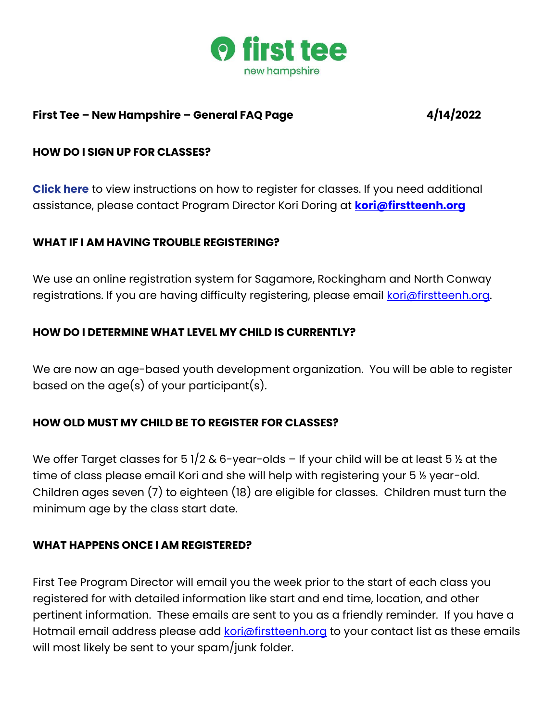

### **First Tee – New Hampshire – General FAQ Page 4/14/2022**

#### **HOW DO I SIGN UP FOR CLASSES?**

**Click here** to view instructions on how to register for classes. If you need additional assistance, please contact Program Director Kori Doring at **[kori@firstteenh.org](mailto:kori@firstteenh.org)**

#### **WHAT IF I AM HAVING TROUBLE REGISTERING?**

We use an online registration system for Sagamore, Rockingham and North Conway registrations. If you are having difficulty registering, please email [kori@firstteenh.org.](mailto:kori@firstteenh.org)

### **HOW DO I DETERMINE WHAT LEVEL MY CHILD IS CURRENTLY?**

We are now an age-based youth development organization. You will be able to register based on the age(s) of your participant(s).

### **HOW OLD MUST MY CHILD BE TO REGISTER FOR CLASSES?**

We offer Target classes for 5 1/2 & 6-year-olds – If your child will be at least 5  $\frac{1}{2}$  at the time of class please email Kori and she will help with registering your 5 ½ year-old. Children ages seven (7) to eighteen (18) are eligible for classes. Children must turn the minimum age by the class start date.

#### **WHAT HAPPENS ONCE I AM REGISTERED?**

First Tee Program Director will email you the week prior to the start of each class you registered for with detailed information like start and end time, location, and other pertinent information. These emails are sent to you as a friendly reminder. If you have a Hotmail email address please add [kori@firstteenh.org](mailto:kori@firstteenh.org) to your contact list as these emails will most likely be sent to your spam/junk folder.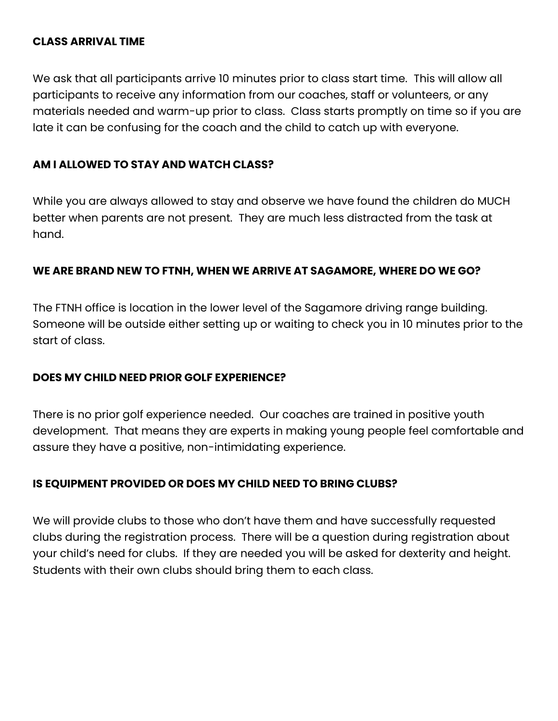#### **CLASS ARRIVAL TIME**

We ask that all participants arrive 10 minutes prior to class start time. This will allow all participants to receive any information from our coaches, staff or volunteers, or any materials needed and warm-up prior to class. Class starts promptly on time so if you are late it can be confusing for the coach and the child to catch up with everyone.

### **AM I ALLOWED TO STAY AND WATCH CLASS?**

While you are always allowed to stay and observe we have found the children do MUCH better when parents are not present. They are much less distracted from the task at hand.

#### **WE ARE BRAND NEW TO FTNH, WHEN WE ARRIVE AT SAGAMORE, WHERE DO WE GO?**

The FTNH office is location in the lower level of the Sagamore driving range building. Someone will be outside either setting up or waiting to check you in 10 minutes prior to the start of class.

#### **DOES MY CHILD NEED PRIOR GOLF EXPERIENCE?**

There is no prior golf experience needed. Our coaches are trained in positive youth development. That means they are experts in making young people feel comfortable and assure they have a positive, non-intimidating experience.

### **IS EQUIPMENT PROVIDED OR DOES MY CHILD NEED TO BRING CLUBS?**

We will provide clubs to those who don't have them and have successfully requested clubs during the registration process. There will be a question during registration about your child's need for clubs. If they are needed you will be asked for dexterity and height. Students with their own clubs should bring them to each class.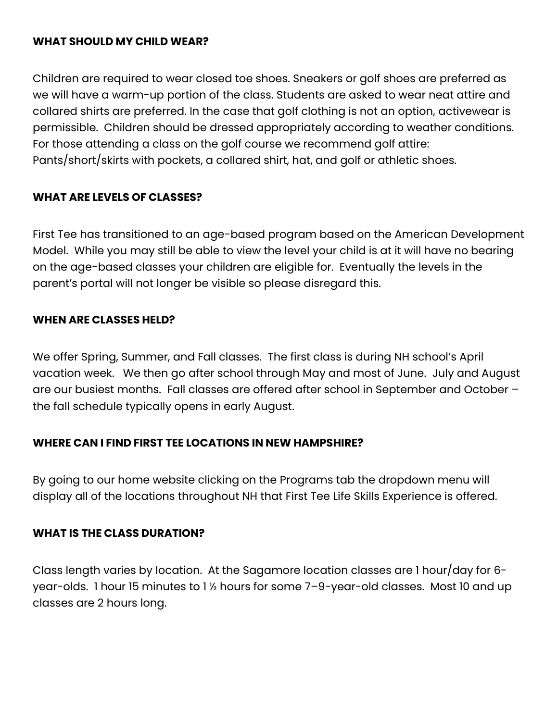### **WHAT SHOULD MY CHILD WEAR?**

Children are required to wear closed toe shoes. Sneakers or golf shoes are preferred as we will have a warm-up portion of the class. Students are asked to wear neat attire and collared shirts are preferred. In the case that golf clothing is not an option, activewear is permissible. Children should be dressed appropriately according to weather conditions. For those attending a class on the golf course we recommend golf attire: Pants/short/skirts with pockets, a collared shirt, hat, and golf or athletic shoes.

### **WHAT ARE LEVELS OF CLASSES?**

First Tee has transitioned to an age-based program based on the American Development Model. While you may still be able to view the level your child is at it will have no bearing on the age-based classes your children are eligible for. Eventually the levels in the parent's portal will not longer be visible so please disregard this.

#### **WHEN ARE CLASSES HELD?**

We offer Spring, Summer, and Fall classes. The first class is during NH school's April vacation week. We then go after school through May and most of June. July and August are our busiest months. Fall classes are offered after school in September and October – the fall schedule typically opens in early August.

### **WHERE CAN I FIND FIRST TEE LOCATIONS IN NEW HAMPSHIRE?**

By going to our home website clicking on the Programs tab the dropdown menu will display all of the locations throughout NH that First Tee Life Skills Experience is offered.

### **WHAT IS THE CLASS DURATION?**

Class length varies by location. At the Sagamore location classes are 1 hour/day for 6 year-olds. 1 hour 15 minutes to 1 ½ hours for some 7–9-year-old classes. Most 10 and up classes are 2 hours long.